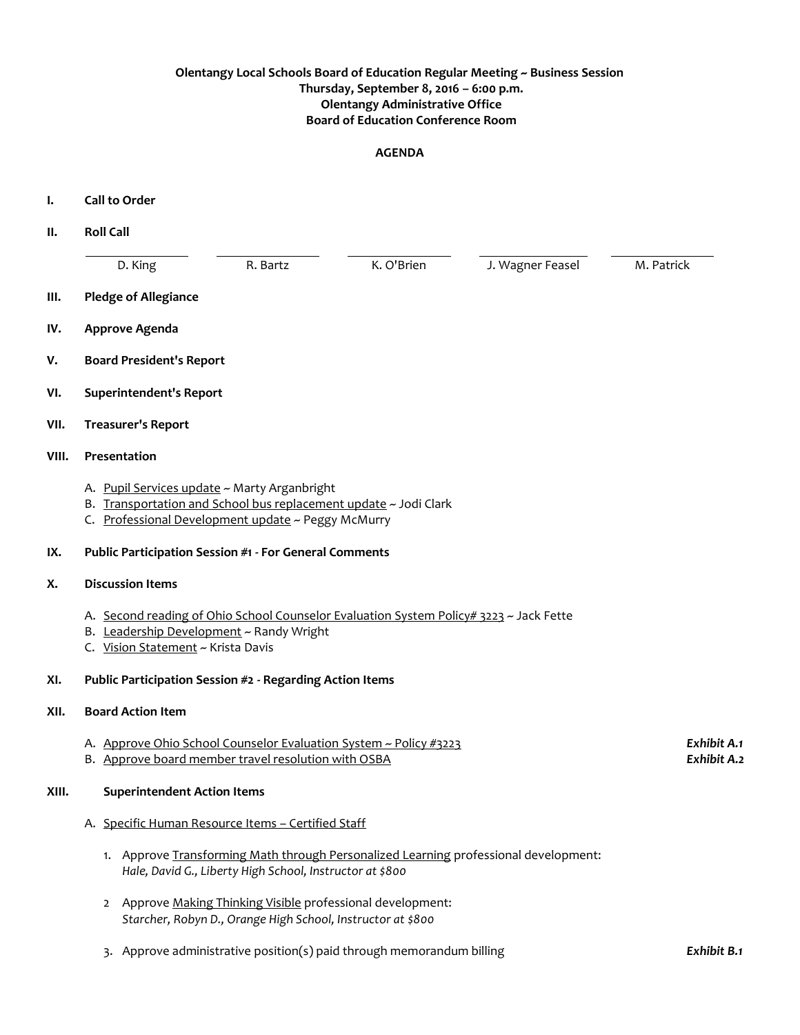## **Olentangy Local Schools Board of Education Regular Meeting ~ Business Session Thursday, September 8, 2016 – 6:00 p.m. Olentangy Administrative Office Board of Education Conference Room**

#### **AGENDA**

- **I. Call to Order**
- **II. Roll Call** D. King The R. Bartz K. O'Brien J. Wagner Feasel M. Patrick **III. Pledge of Allegiance IV. Approve Agenda V. Board President's Report VI. Superintendent's Report VII. Treasurer's Report VIII. Presentation** A. Pupil Services update ~ Marty Arganbright B. Transportation and School bus replacement update ~ Jodi Clark C. Professional Development update ~ Peggy McMurry
- **IX. Public Participation Session #1 - For General Comments**
- **X. Discussion Items**
	- A. Second reading of Ohio School Counselor Evaluation System Policy# 3223 ~ Jack Fette
	- B. Leadership Development ~ Randy Wright
	- C. Vision Statement ~ Krista Davis
- **XI. Public Participation Session #2 - Regarding Action Items**

### **XII. Board Action Item**

- A. Approve Ohio School Counselor Evaluation System ~ Policy #3223 *Exhibit A.1*
- B. Approve board member travel resolution with OSBA *Exhibit A.2*

## **XIII. Superintendent Action Items**

- A. Specific Human Resource Items Certified Staff
	- 1. Approve Transforming Math through Personalized Learning professional development: *Hale, David G., Liberty High School, Instructor at \$800*
	- 2 Approve Making Thinking Visible professional development: *Starcher, Robyn D., Orange High School, Instructor at \$800*
	- 3. Approve administrative position(s) paid through memorandum billing *Exhibit B.1*